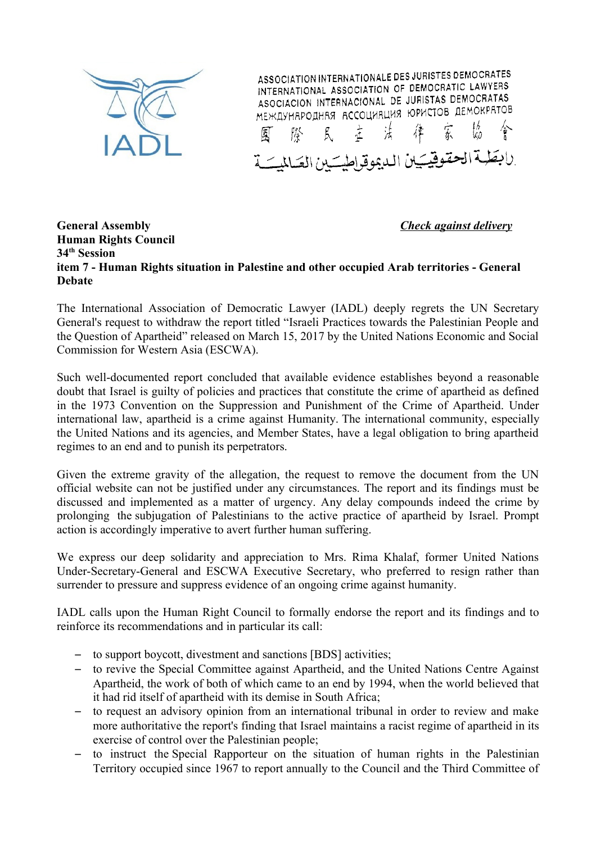

ASSOCIATION INTERNATIONALE DES JURISTES DEMOCRATES INTERNATIONAL ASSOCIATION OF DEMOCRATIC LAWYERS INTERNATIONAL ASSOCIATION OF BEMOGRAPHIC ASOCIACION INTERNACIONAL DE JURISTAS DEMOCRATAS МЕЖДУНАРОДНАЯ АССОЦИЯЦИЯ ЮРИСТОВ ДЕМОКРАТОВ 主法 律家

لابطية الحقوقيكين الدعوقراطيتين العكلليتية

## **General Assembly** *Check against delivery* **Human Rights Council 34th Session item 7 - Human Rights situation in Palestine and other occupied Arab territories - General Debate**

The International Association of Democratic Lawyer (IADL) deeply regrets the UN Secretary General's request to withdraw the report titled "Israeli Practices towards the Palestinian People and the Question of Apartheid" released on March 15, 2017 by the United Nations Economic and Social Commission for Western Asia (ESCWA).

Such well-documented report concluded that available evidence establishes beyond a reasonable doubt that Israel is guilty of policies and practices that constitute the crime of apartheid as defined in the 1973 Convention on the Suppression and Punishment of the Crime of Apartheid. Under international law, apartheid is a crime against Humanity. The international community, especially the United Nations and its agencies, and Member States, have a legal obligation to bring apartheid regimes to an end and to punish its perpetrators.

Given the extreme gravity of the allegation, the request to remove the document from the UN official website can not be justified under any circumstances. The report and its findings must be discussed and implemented as a matter of urgency. Any delay compounds indeed the crime by prolonging the subjugation of Palestinians to the active practice of apartheid by Israel. Prompt action is accordingly imperative to avert further human suffering.

We express our deep solidarity and appreciation to Mrs. Rima Khalaf, former United Nations Under-Secretary-General and ESCWA Executive Secretary, who preferred to resign rather than surrender to pressure and suppress evidence of an ongoing crime against humanity.

IADL calls upon the Human Right Council to formally endorse the report and its findings and to reinforce its recommendations and in particular its call:

- to support boycott, divestment and sanctions [BDS] activities;
- to revive the Special Committee against Apartheid, and the United Nations Centre Against Apartheid, the work of both of which came to an end by 1994, when the world believed that it had rid itself of apartheid with its demise in South Africa;
- to request an advisory opinion from an international tribunal in order to review and make more authoritative the report's finding that Israel maintains a racist regime of apartheid in its exercise of control over the Palestinian people;
- to instruct the Special Rapporteur on the situation of human rights in the Palestinian Territory occupied since 1967 to report annually to the Council and the Third Committee of